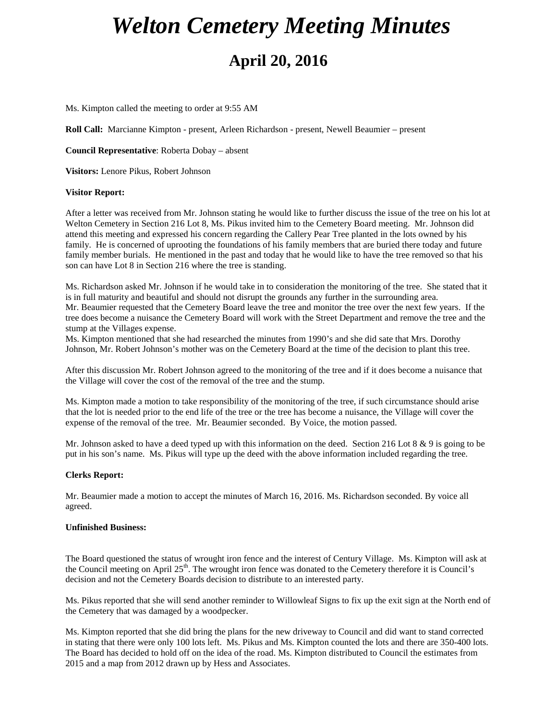# *Welton Cemetery Meeting Minutes* **April 20, 2016**

Ms. Kimpton called the meeting to order at 9:55 AM

**Roll Call:** Marcianne Kimpton - present, Arleen Richardson - present, Newell Beaumier – present

**Council Representative**: Roberta Dobay – absent

**Visitors:** Lenore Pikus, Robert Johnson

#### **Visitor Report:**

After a letter was received from Mr. Johnson stating he would like to further discuss the issue of the tree on his lot at Welton Cemetery in Section 216 Lot 8, Ms. Pikus invited him to the Cemetery Board meeting. Mr. Johnson did attend this meeting and expressed his concern regarding the Callery Pear Tree planted in the lots owned by his family. He is concerned of uprooting the foundations of his family members that are buried there today and future family member burials. He mentioned in the past and today that he would like to have the tree removed so that his son can have Lot 8 in Section 216 where the tree is standing.

Ms. Richardson asked Mr. Johnson if he would take in to consideration the monitoring of the tree. She stated that it is in full maturity and beautiful and should not disrupt the grounds any further in the surrounding area. Mr. Beaumier requested that the Cemetery Board leave the tree and monitor the tree over the next few years. If the tree does become a nuisance the Cemetery Board will work with the Street Department and remove the tree and the stump at the Villages expense.

Ms. Kimpton mentioned that she had researched the minutes from 1990's and she did sate that Mrs. Dorothy Johnson, Mr. Robert Johnson's mother was on the Cemetery Board at the time of the decision to plant this tree.

After this discussion Mr. Robert Johnson agreed to the monitoring of the tree and if it does become a nuisance that the Village will cover the cost of the removal of the tree and the stump.

Ms. Kimpton made a motion to take responsibility of the monitoring of the tree, if such circumstance should arise that the lot is needed prior to the end life of the tree or the tree has become a nuisance, the Village will cover the expense of the removal of the tree. Mr. Beaumier seconded. By Voice, the motion passed.

Mr. Johnson asked to have a deed typed up with this information on the deed. Section 216 Lot 8 & 9 is going to be put in his son's name. Ms. Pikus will type up the deed with the above information included regarding the tree.

#### **Clerks Report:**

Mr. Beaumier made a motion to accept the minutes of March 16, 2016. Ms. Richardson seconded. By voice all agreed.

### **Unfinished Business:**

The Board questioned the status of wrought iron fence and the interest of Century Village. Ms. Kimpton will ask at the Council meeting on April  $25<sup>th</sup>$ . The wrought iron fence was donated to the Cemetery therefore it is Council's decision and not the Cemetery Boards decision to distribute to an interested party.

Ms. Pikus reported that she will send another reminder to Willowleaf Signs to fix up the exit sign at the North end of the Cemetery that was damaged by a woodpecker.

Ms. Kimpton reported that she did bring the plans for the new driveway to Council and did want to stand corrected in stating that there were only 100 lots left. Ms. Pikus and Ms. Kimpton counted the lots and there are 350-400 lots. The Board has decided to hold off on the idea of the road. Ms. Kimpton distributed to Council the estimates from 2015 and a map from 2012 drawn up by Hess and Associates.